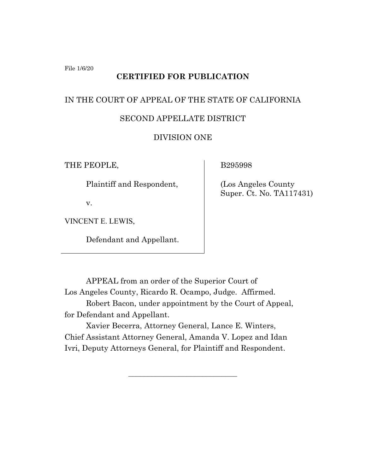File 1/6/20

# **CERTIFIED FOR PUBLICATION**

# IN THE COURT OF APPEAL OF THE STATE OF CALIFORNIA

# SECOND APPELLATE DISTRICT

# DIVISION ONE

THE PEOPLE,

Plaintiff and Respondent,

v.

VINCENT E. LEWIS,

Defendant and Appellant.

B295998

 (Los Angeles County Super. Ct. No. TA117431)

APPEAL from an order of the Superior Court of Los Angeles County, Ricardo R. Ocampo, Judge. Affirmed. Robert Bacon, under appointment by the Court of Appeal, for Defendant and Appellant.

Xavier Becerra, Attorney General, Lance E. Winters, Chief Assistant Attorney General, Amanda V. Lopez and Idan Ivri, Deputy Attorneys General, for Plaintiff and Respondent.

 $\mathcal{L}_\text{max}$  , where  $\mathcal{L}_\text{max}$  , we have the set of  $\mathcal{L}_\text{max}$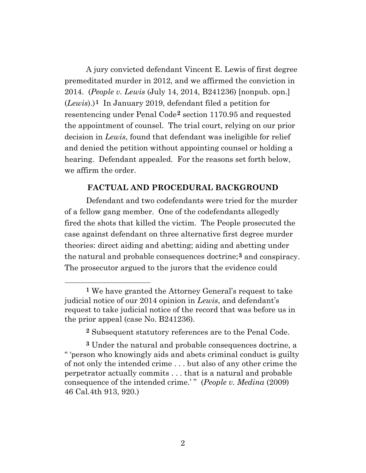A jury convicted defendant Vincent E. Lewis of first degree premeditated murder in 2012, and we affirmed the conviction in 2014. (*People v. Lewis* (July 14, 2014, B241236) [nonpub. opn.] (*Lewis*).)**[1](#page-1-0)** In January 2019, defendant filed a petition for resentencing under Penal Code**[2](#page-1-1)** section 1170.95 and requested the appointment of counsel. The trial court, relying on our prior decision in *Lewis*, found that defendant was ineligible for relief and denied the petition without appointing counsel or holding a hearing. Defendant appealed. For the reasons set forth below, we affirm the order.

#### **FACTUAL AND PROCEDURAL BACKGROUND**

Defendant and two codefendants were tried for the murder of a fellow gang member. One of the codefendants allegedly fired the shots that killed the victim. The People prosecuted the case against defendant on three alternative first degree murder theories: direct aiding and abetting; aiding and abetting under the natural and probable consequences doctrine;**[3](#page-1-2)** and conspiracy. The prosecutor argued to the jurors that the evidence could

<span id="page-1-0"></span>**<sup>1</sup>** We have granted the Attorney General's request to take judicial notice of our 2014 opinion in *Lewis*, and defendant's request to take judicial notice of the record that was before us in the prior appeal (case No. B241236).

**<sup>2</sup>** Subsequent statutory references are to the Penal Code.

<span id="page-1-2"></span><span id="page-1-1"></span>**<sup>3</sup>** Under the natural and probable consequences doctrine, a " 'person who knowingly aids and abets criminal conduct is guilty of not only the intended crime . . . but also of any other crime the perpetrator actually commits . . . that is a natural and probable consequence of the intended crime.'" (*People v. Medina* (2009) 46 Cal.4th 913, 920.)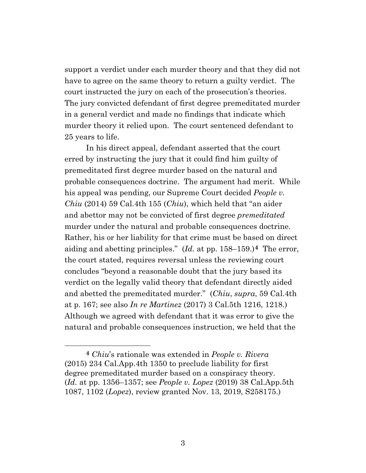support a verdict under each murder theory and that they did not have to agree on the same theory to return a guilty verdict. The court instructed the jury on each of the prosecution's theories. The jury convicted defendant of first degree premeditated murder in a general verdict and made no findings that indicate which murder theory it relied upon. The court sentenced defendant to 25 years to life.

In his direct appeal, defendant asserted that the court erred by instructing the jury that it could find him guilty of premeditated first degree murder based on the natural and probable consequences doctrine. The argument had merit. While his appeal was pending, our Supreme Court decided *People v. Chiu* (2014) 59 Cal.4th 155 (*Chiu*), which held that "an aider and abettor may not be convicted of first degree *premeditated*  murder under the natural and probable consequences doctrine. Rather, his or her liability for that crime must be based on direct aiding and abetting principles." (*Id.* at pp. 158–159.)**[4](#page-2-0)** The error, the court stated, requires reversal unless the reviewing court concludes "beyond a reasonable doubt that the jury based its verdict on the legally valid theory that defendant directly aided and abetted the premeditated murder." (*Chiu*, *supra*, 59 Cal.4th at p. 167; see also *In re Martinez* (2017) 3 Cal.5th 1216, 1218.) Although we agreed with defendant that it was error to give the natural and probable consequences instruction, we held that the

<span id="page-2-0"></span>**<sup>4</sup>** *Chiu*'s rationale was extended in *People v. Rivera* (2015) 234 Cal.App.4th 1350 to preclude liability for first degree premeditated murder based on a conspiracy theory. (*Id.* at pp. 1356–1357; see *People v. Lopez* (2019) 38 Cal.App.5th 1087, 1102 (*Lopez*), review granted Nov. 13, 2019, S258175.)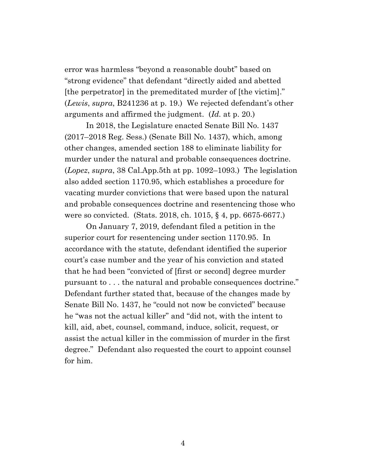error was harmless "beyond a reasonable doubt" based on "strong evidence" that defendant "directly aided and abetted [the perpetrator] in the premeditated murder of [the victim]." (*Lewis*, *supra*, B241236 at p. 19.) We rejected defendant's other arguments and affirmed the judgment. (*Id.* at p. 20.)

In 2018, the Legislature enacted Senate Bill No. 1437 (2017–2018 Reg. Sess.) (Senate Bill No. 1437), which, among other changes, amended section 188 to eliminate liability for murder under the natural and probable consequences doctrine. (*Lopez*, *supra*, 38 Cal.App.5th at pp. 1092–1093.) The legislation also added section 1170.95, which establishes a procedure for vacating murder convictions that were based upon the natural and probable consequences doctrine and resentencing those who were so convicted. (Stats. 2018, ch. 1015, § 4, pp. 6675-6677.)

On January 7, 2019, defendant filed a petition in the superior court for resentencing under section 1170.95. In accordance with the statute, defendant identified the superior court's case number and the year of his conviction and stated that he had been "convicted of [first or second] degree murder pursuant to . . . the natural and probable consequences doctrine." Defendant further stated that, because of the changes made by Senate Bill No. 1437, he "could not now be convicted" because he "was not the actual killer" and "did not, with the intent to kill, aid, abet, counsel, command, induce, solicit, request, or assist the actual killer in the commission of murder in the first degree." Defendant also requested the court to appoint counsel for him.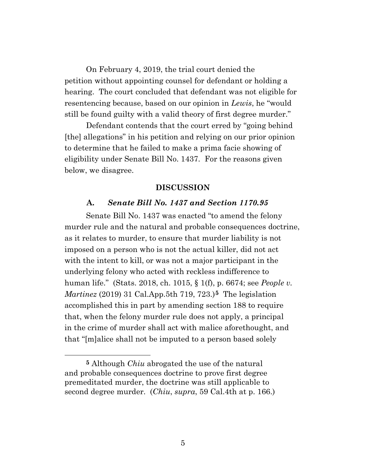On February 4, 2019, the trial court denied the petition without appointing counsel for defendant or holding a hearing. The court concluded that defendant was not eligible for resentencing because, based on our opinion in *Lewis*, he "would still be found guilty with a valid theory of first degree murder."

Defendant contends that the court erred by "going behind [the] allegations" in his petition and relying on our prior opinion to determine that he failed to make a prima facie showing of eligibility under Senate Bill No. 1437. For the reasons given below, we disagree.

#### **DISCUSSION**

#### **A.** *Senate Bill No. 1437 and Section 1170.95*

Senate Bill No. 1437 was enacted "to amend the felony murder rule and the natural and probable consequences doctrine, as it relates to murder, to ensure that murder liability is not imposed on a person who is not the actual killer, did not act with the intent to kill, or was not a major participant in the underlying felony who acted with reckless indifference to human life." (Stats. 2018, ch. 1015, § 1(f), p. 6674; see *People v. Martinez* (2019) 31 Cal.App.5th 719, 723.)**[5](#page-4-0)** The legislation accomplished this in part by amending section 188 to require that, when the felony murder rule does not apply, a principal in the crime of murder shall act with malice aforethought, and that "[m]alice shall not be imputed to a person based solely

<span id="page-4-0"></span>**<sup>5</sup>** Although *Chiu* abrogated the use of the natural and probable consequences doctrine to prove first degree premeditated murder, the doctrine was still applicable to second degree murder. (*Chiu*, *supra*, 59 Cal.4th at p. 166.)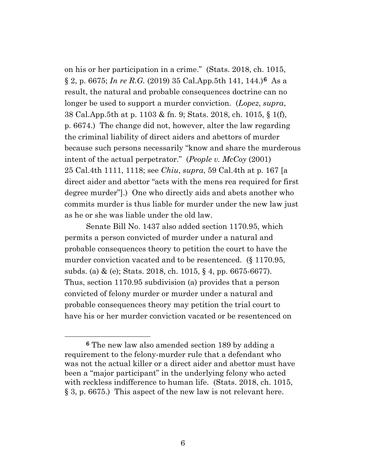on his or her participation in a crime." (Stats. 2018, ch. 1015, § 2, p. 6675; *In re R.G.* (2019) 35 Cal.App.5th 141, 144.)**[6](#page-5-0)** As a result, the natural and probable consequences doctrine can no longer be used to support a murder conviction. (*Lopez*, *supra*, 38 Cal.App.5th at p. 1103 & fn. 9; Stats. 2018, ch. 1015, § 1(f), p. 6674.) The change did not, however, alter the law regarding the criminal liability of direct aiders and abettors of murder because such persons necessarily "know and share the murderous intent of the actual perpetrator." (*People v. McCoy* (2001) 25 Cal.4th 1111, 1118; see *Chiu*, *supra*, 59 Cal.4th at p. 167 [a direct aider and abettor "acts with the mens rea required for first degree murder"].) One who directly aids and abets another who commits murder is thus liable for murder under the new law just as he or she was liable under the old law.

Senate Bill No. 1437 also added section 1170.95, which permits a person convicted of murder under a natural and probable consequences theory to petition the court to have the murder conviction vacated and to be resentenced. (§ 1170.95, subds. (a) & (e); Stats. 2018, ch. 1015, § 4, pp. 6675-6677). Thus, section 1170.95 subdivision (a) provides that a person convicted of felony murder or murder under a natural and probable consequences theory may petition the trial court to have his or her murder conviction vacated or be resentenced on

<span id="page-5-0"></span>**<sup>6</sup>** The new law also amended section 189 by adding a requirement to the felony-murder rule that a defendant who was not the actual killer or a direct aider and abettor must have been a "major participant" in the underlying felony who acted with reckless indifference to human life. (Stats. 2018, ch. 1015, § 3, p. 6675.) This aspect of the new law is not relevant here.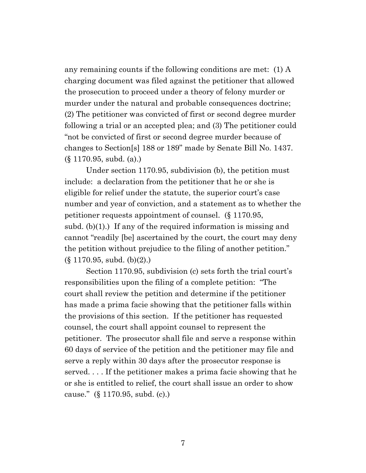any remaining counts if the following conditions are met: (1) A charging document was filed against the petitioner that allowed the prosecution to proceed under a theory of felony murder or murder under the natural and probable consequences doctrine; (2) The petitioner was convicted of first or second degree murder following a trial or an accepted plea; and (3) The petitioner could "not be convicted of first or second degree murder because of changes to Section[s] 188 or 189" made by Senate Bill No. 1437. (§ 1170.95, subd. (a).)

Under section 1170.95, subdivision (b), the petition must include: a declaration from the petitioner that he or she is eligible for relief under the statute, the superior court's case number and year of conviction, and a statement as to whether the petitioner requests appointment of counsel. (§ 1170.95, subd. (b)(1).) If any of the required information is missing and cannot "readily [be] ascertained by the court, the court may deny the petition without prejudice to the filing of another petition." (§ 1170.95, subd. (b)(2).)

Section 1170.95, subdivision (c) sets forth the trial court's responsibilities upon the filing of a complete petition: "The court shall review the petition and determine if the petitioner has made a prima facie showing that the petitioner falls within the provisions of this section. If the petitioner has requested counsel, the court shall appoint counsel to represent the petitioner. The prosecutor shall file and serve a response within 60 days of service of the petition and the petitioner may file and serve a reply within 30 days after the prosecutor response is served. . . . If the petitioner makes a prima facie showing that he or she is entitled to relief, the court shall issue an order to show cause." (§ 1170.95, subd. (c).)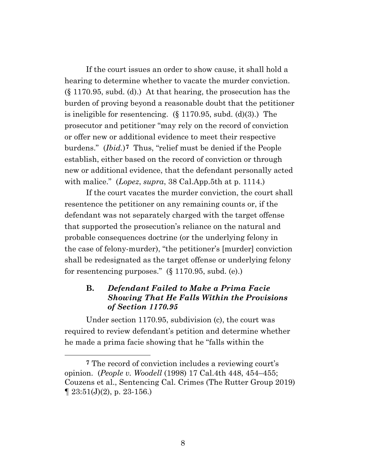If the court issues an order to show cause, it shall hold a hearing to determine whether to vacate the murder conviction. (§ 1170.95, subd. (d).) At that hearing, the prosecution has the burden of proving beyond a reasonable doubt that the petitioner is ineligible for resentencing.  $(\S 1170.95, \text{subd.} (d)(3))$ . The prosecutor and petitioner "may rely on the record of conviction or offer new or additional evidence to meet their respective burdens." (*Ibid.*)**[7](#page-7-0)** Thus, "relief must be denied if the People establish, either based on the record of conviction or through new or additional evidence, that the defendant personally acted with malice." (*Lopez*, *supra*, 38 Cal.App.5th at p. 1114.)

If the court vacates the murder conviction, the court shall resentence the petitioner on any remaining counts or, if the defendant was not separately charged with the target offense that supported the prosecution's reliance on the natural and probable consequences doctrine (or the underlying felony in the case of felony-murder), "the petitioner's [murder] conviction shall be redesignated as the target offense or underlying felony for resentencing purposes." (§ 1170.95, subd. (e).)

# **B.** *Defendant Failed to Make a Prima Facie Showing That He Falls Within the Provisions of Section 1170.95*

Under section 1170.95, subdivision (c), the court was required to review defendant's petition and determine whether he made a prima facie showing that he "falls within the

<span id="page-7-0"></span>**<sup>7</sup>** The record of conviction includes a reviewing court's opinion. (*People v. Woodell* (1998) 17 Cal.4th 448, 454–455; Couzens et al., Sentencing Cal. Crimes (The Rutter Group 2019)  $\P$  23:51(J)(2), p. 23-156.)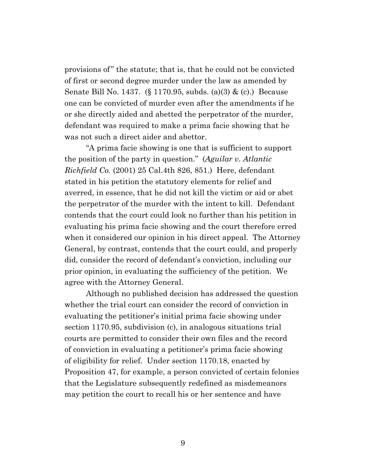provisions of" the statute; that is, that he could not be convicted of first or second degree murder under the law as amended by Senate Bill No. 1437. (§ 1170.95, subds. (a)(3) & (c).) Because one can be convicted of murder even after the amendments if he or she directly aided and abetted the perpetrator of the murder, defendant was required to make a prima facie showing that he was not such a direct aider and abettor.

"A prima facie showing is one that is sufficient to support the position of the party in question." (*Aguilar v. Atlantic Richfield Co.* (2001) 25 Cal.4th 826, 851.) Here, defendant stated in his petition the statutory elements for relief and averred, in essence, that he did not kill the victim or aid or abet the perpetrator of the murder with the intent to kill. Defendant contends that the court could look no further than his petition in evaluating his prima facie showing and the court therefore erred when it considered our opinion in his direct appeal. The Attorney General, by contrast, contends that the court could, and properly did, consider the record of defendant's conviction, including our prior opinion, in evaluating the sufficiency of the petition. We agree with the Attorney General.

Although no published decision has addressed the question whether the trial court can consider the record of conviction in evaluating the petitioner's initial prima facie showing under section 1170.95, subdivision (c), in analogous situations trial courts are permitted to consider their own files and the record of conviction in evaluating a petitioner's prima facie showing of eligibility for relief. Under section 1170.18, enacted by Proposition 47, for example, a person convicted of certain felonies that the Legislature subsequently redefined as misdemeanors may petition the court to recall his or her sentence and have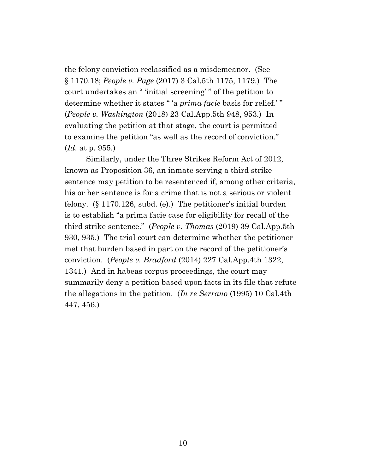the felony conviction reclassified as a misdemeanor. (See § 1170.18; *People v. Page* (2017) 3 Cal.5th 1175, 1179.) The court undertakes an " 'initial screening' " of the petition to determine whether it states " 'a *prima facie* basis for relief.' " (*People v. Washington* (2018) 23 Cal.App.5th 948, 953.) In evaluating the petition at that stage, the court is permitted to examine the petition "as well as the record of conviction." (*Id.* at p. 955.)

Similarly, under the Three Strikes Reform Act of 2012, known as Proposition 36, an inmate serving a third strike sentence may petition to be resentenced if, among other criteria, his or her sentence is for a crime that is not a serious or violent felony. (§ 1170.126, subd. (e).) The petitioner's initial burden is to establish "a prima facie case for eligibility for recall of the third strike sentence." (*People v. Thomas* (2019) 39 Cal.App.5th 930, 935.) The trial court can determine whether the petitioner met that burden based in part on the record of the petitioner's conviction. (*People v. Bradford* (2014) 227 Cal.App.4th 1322, 1341.) And in habeas corpus proceedings, the court may summarily deny a petition based upon facts in its file that refute the allegations in the petition. (*In re Serrano* (1995) 10 Cal.4th 447, 456.)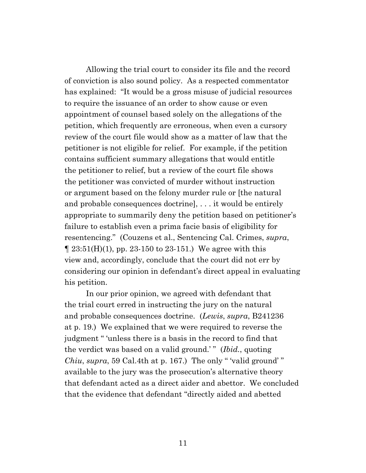Allowing the trial court to consider its file and the record of conviction is also sound policy. As a respected commentator has explained: "It would be a gross misuse of judicial resources to require the issuance of an order to show cause or even appointment of counsel based solely on the allegations of the petition, which frequently are erroneous, when even a cursory review of the court file would show as a matter of law that the petitioner is not eligible for relief. For example, if the petition contains sufficient summary allegations that would entitle the petitioner to relief, but a review of the court file shows the petitioner was convicted of murder without instruction or argument based on the felony murder rule or [the natural and probable consequences doctrine], . . . it would be entirely appropriate to summarily deny the petition based on petitioner's failure to establish even a prima facie basis of eligibility for resentencing." (Couzens et al., Sentencing Cal. Crimes, *supra*,  $\parallel$  23:51(H)(1), pp. 23-150 to 23-151.) We agree with this view and, accordingly, conclude that the court did not err by considering our opinion in defendant's direct appeal in evaluating his petition.

In our prior opinion, we agreed with defendant that the trial court erred in instructing the jury on the natural and probable consequences doctrine. (*Lewis*, *supra*, B241236 at p. 19.) We explained that we were required to reverse the judgment " 'unless there is a basis in the record to find that the verdict was based on a valid ground.'" (*Ibid.*, quoting *Chiu*, *supra*, 59 Cal.4th at p. 167.) The only " 'valid ground' " available to the jury was the prosecution's alternative theory that defendant acted as a direct aider and abettor. We concluded that the evidence that defendant "directly aided and abetted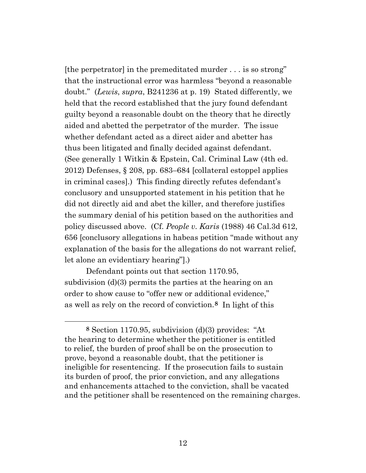[the perpetrator] in the premeditated murder . . . is so strong" that the instructional error was harmless "beyond a reasonable doubt." (*Lewis*, *supra*, B241236 at p. 19) Stated differently, we held that the record established that the jury found defendant guilty beyond a reasonable doubt on the theory that he directly aided and abetted the perpetrator of the murder. The issue whether defendant acted as a direct aider and abetter has thus been litigated and finally decided against defendant. (See generally 1 Witkin & Epstein, Cal. Criminal Law (4th ed. 2012) Defenses, § 208, pp. 683–684 [collateral estoppel applies in criminal cases].) This finding directly refutes defendant's conclusory and unsupported statement in his petition that he did not directly aid and abet the killer, and therefore justifies the summary denial of his petition based on the authorities and policy discussed above. (Cf. *People v. Karis* (1988) 46 Cal.3d 612, 656 [conclusory allegations in habeas petition "made without any explanation of the basis for the allegations do not warrant relief, let alone an evidentiary hearing"].)

Defendant points out that section 1170.95, subdivision (d)(3) permits the parties at the hearing on an order to show cause to "offer new or additional evidence," as well as rely on the record of conviction.**[8](#page-11-0)** In light of this

<span id="page-11-0"></span>**<sup>8</sup>** Section 1170.95, subdivision (d)(3) provides: "At the hearing to determine whether the petitioner is entitled to relief, the burden of proof shall be on the prosecution to prove, beyond a reasonable doubt, that the petitioner is ineligible for resentencing. If the prosecution fails to sustain its burden of proof, the prior conviction, and any allegations and enhancements attached to the conviction, shall be vacated and the petitioner shall be resentenced on the remaining charges.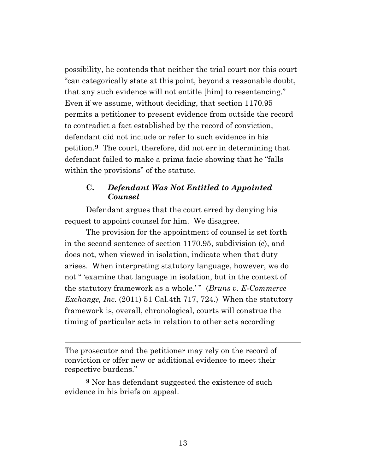possibility, he contends that neither the trial court nor this court "can categorically state at this point, beyond a reasonable doubt, that any such evidence will not entitle [him] to resentencing." Even if we assume, without deciding, that section 1170.95 permits a petitioner to present evidence from outside the record to contradict a fact established by the record of conviction, defendant did not include or refer to such evidence in his petition.**[9](#page-12-0)** The court, therefore, did not err in determining that defendant failed to make a prima facie showing that he "falls within the provisions" of the statute.

# **C.** *Defendant Was Not Entitled to Appointed Counsel*

Defendant argues that the court erred by denying his request to appoint counsel for him. We disagree.

The provision for the appointment of counsel is set forth in the second sentence of section 1170.95, subdivision (c), and does not, when viewed in isolation, indicate when that duty arises. When interpreting statutory language, however, we do not " 'examine that language in isolation, but in the context of the statutory framework as a whole.' " (*Bruns v. E-Commerce Exchange, Inc.* (2011) 51 Cal.4th 717, 724.) When the statutory framework is, overall, chronological, courts will construe the timing of particular acts in relation to other acts according

The prosecutor and the petitioner may rely on the record of conviction or offer new or additional evidence to meet their respective burdens."

<span id="page-12-0"></span>**<sup>9</sup>** Nor has defendant suggested the existence of such evidence in his briefs on appeal.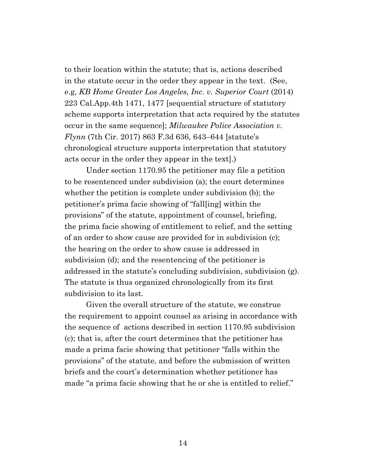to their location within the statute; that is, actions described in the statute occur in the order they appear in the text. (See, e.g, *KB Home Greater Los Angeles, Inc. v. Superior Court* (2014) 223 Cal.App.4th 1471, 1477 [sequential structure of statutory scheme supports interpretation that acts required by the statutes occur in the same sequence]; *Milwaukee Police Association v. Flynn* (7th Cir. 2017) 863 F.3d 636, 643–644 [statute's chronological structure supports interpretation that statutory acts occur in the order they appear in the text].)

Under section 1170.95 the petitioner may file a petition to be resentenced under subdivision (a); the court determines whether the petition is complete under subdivision (b); the petitioner's prima facie showing of "fall[ing] within the provisions" of the statute, appointment of counsel, briefing, the prima facie showing of entitlement to relief, and the setting of an order to show cause are provided for in subdivision (c); the hearing on the order to show cause is addressed in subdivision (d); and the resentencing of the petitioner is addressed in the statute's concluding subdivision, subdivision (g). The statute is thus organized chronologically from its first subdivision to its last.

Given the overall structure of the statute, we construe the requirement to appoint counsel as arising in accordance with the sequence of actions described in section 1170.95 subdivision (c); that is, after the court determines that the petitioner has made a prima facie showing that petitioner "falls within the provisions" of the statute, and before the submission of written briefs and the court's determination whether petitioner has made "a prima facie showing that he or she is entitled to relief."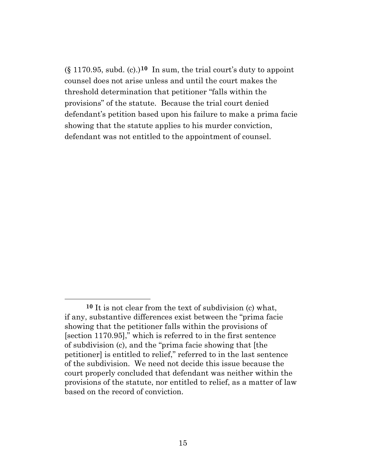(§ 1170.95, subd. (c).)**[10](#page-14-0)** In sum, the trial court's duty to appoint counsel does not arise unless and until the court makes the threshold determination that petitioner "falls within the provisions" of the statute. Because the trial court denied defendant's petition based upon his failure to make a prima facie showing that the statute applies to his murder conviction, defendant was not entitled to the appointment of counsel.

<span id="page-14-0"></span>**<sup>10</sup>** It is not clear from the text of subdivision (c) what, if any, substantive differences exist between the "prima facie showing that the petitioner falls within the provisions of [section 1170.95]," which is referred to in the first sentence of subdivision (c), and the "prima facie showing that [the petitioner] is entitled to relief," referred to in the last sentence of the subdivision. We need not decide this issue because the court properly concluded that defendant was neither within the provisions of the statute, nor entitled to relief, as a matter of law based on the record of conviction.